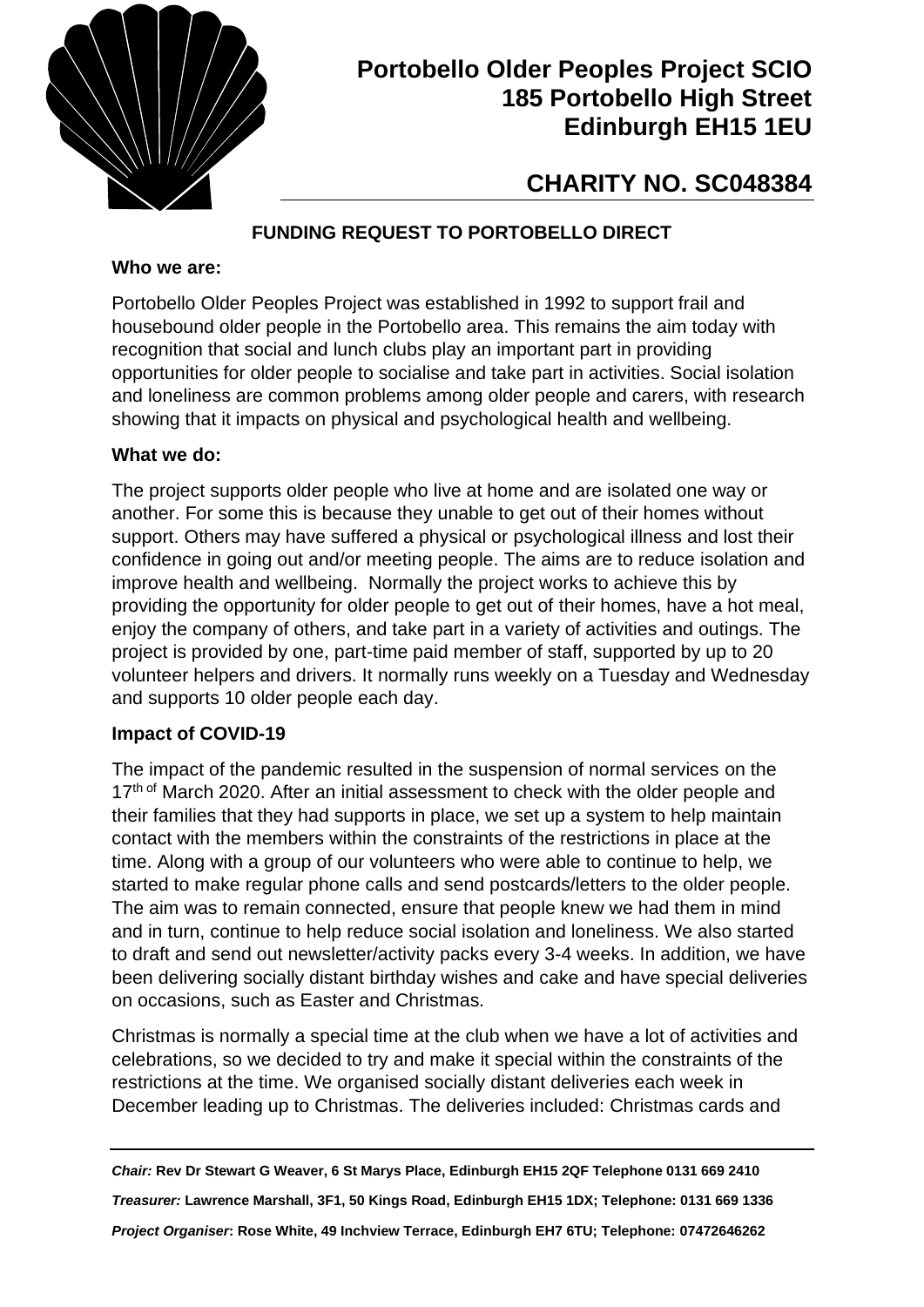

## **Portobello Older Peoples Project SCIO 185 Portobello High Street Edinburgh EH15 1EU**

# **CHARITY NO. SC048384**

## **FUNDING REQUEST TO PORTOBELLO DIRECT**

#### **Who we are:**

Portobello Older Peoples Project was established in 1992 to support frail and housebound older people in the Portobello area. This remains the aim today with recognition that social and lunch clubs play an important part in providing opportunities for older people to socialise and take part in activities. Social isolation and loneliness are common problems among older people and carers, with research showing that it impacts on physical and psychological health and wellbeing.

#### **What we do:**

The project supports older people who live at home and are isolated one way or another. For some this is because they unable to get out of their homes without support. Others may have suffered a physical or psychological illness and lost their confidence in going out and/or meeting people. The aims are to reduce isolation and improve health and wellbeing. Normally the project works to achieve this by providing the opportunity for older people to get out of their homes, have a hot meal, enjoy the company of others, and take part in a variety of activities and outings. The project is provided by one, part-time paid member of staff, supported by up to 20 volunteer helpers and drivers. It normally runs weekly on a Tuesday and Wednesday and supports 10 older people each day.

#### **Impact of COVID-19**

The impact of the pandemic resulted in the suspension of normal services on the 17<sup>th of</sup> March 2020. After an initial assessment to check with the older people and their families that they had supports in place, we set up a system to help maintain contact with the members within the constraints of the restrictions in place at the time. Along with a group of our volunteers who were able to continue to help, we started to make regular phone calls and send postcards/letters to the older people. The aim was to remain connected, ensure that people knew we had them in mind and in turn, continue to help reduce social isolation and loneliness. We also started to draft and send out newsletter/activity packs every 3-4 weeks. In addition, we have been delivering socially distant birthday wishes and cake and have special deliveries on occasions, such as Easter and Christmas.

Christmas is normally a special time at the club when we have a lot of activities and celebrations, so we decided to try and make it special within the constraints of the restrictions at the time. We organised socially distant deliveries each week in December leading up to Christmas. The deliveries included: Christmas cards and

*Chair:* **Rev Dr Stewart G Weaver, 6 St Marys Place, Edinburgh EH15 2QF Telephone 0131 669 2410** *Treasurer:* **Lawrence Marshall, 3F1, 50 Kings Road, Edinburgh EH15 1DX; Telephone: 0131 669 1336** *Project Organiser***: Rose White, 49 Inchview Terrace, Edinburgh EH7 6TU; Telephone: 07472646262**